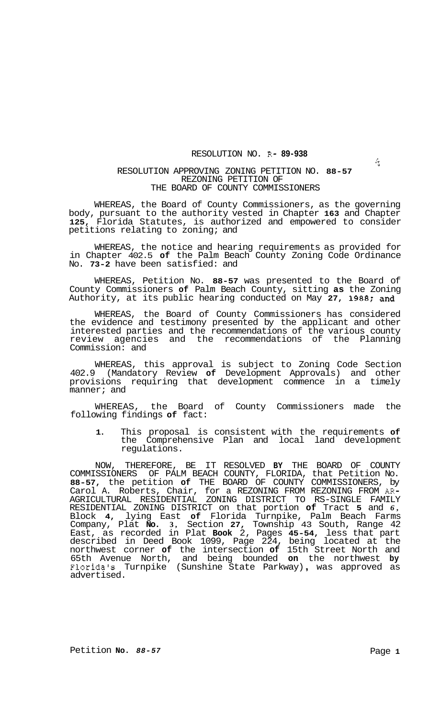## RESOLUTION NO. R- **89-938**

## RESOLUTION APPROVING ZONING PETITION NO. **88-57**  REZONING PETITION OF THE BOARD OF COUNTY COMMISSIONERS

WHEREAS, the Board of County Commissioners, as the governing body, pursuant to the authority vested in Chapter **163** and Chapter **125,** Florida Statutes, is authorized and empowered to consider petitions relating to zoning; and

WHEREAS, the notice and hearing requirements as provided for in Chapter 402.5 **of** the Palm Beach County Zoning Code Ordinance No. **73-2** have been satisfied: and

WHEREAS, Petition No. **88-57** was presented to the Board of County Commissioners **of** Palm Beach County, sitting **as** the Zoning Authority, at its public hearing conducted on May **27, 1988;** and

WHEREAS, the Board of County Commissioners has considered the evidence and testimony presented by the applicant and other interested parties and the recommendations of the various county review agencies and the recommendations of the Planning Commission: and

WHEREAS, this approval is subject to Zoning Code Section 402.9 (Mandatory Review **of** Development Approvals) and other provisions requiring that development commence in a timely manner; and

WHEREAS, the Board of County Commissioners made the following findings **of** fact:

**1.** This proposal is consistent with the requirements **of**  the Comprehensive Plan and local land development regulations.

NOW, THEREFORE, BE IT RESOLVED **BY** THE BOARD OF COUNTY COMMISSIONERS OF PALM BEACH COUNTY, FLORIDA, that Petition No. **88-57,** the petition **of** THE BOARD OF COUNTY COMMISSIONERS, by Carol A. Roberts, Chair, for a REZONING FROM REZONING FROM *AR-*RESIDENTIAL ZONING DISTRICT on that portion **of** Tract **5** and *6,*  Block **4,** lying East **of** Florida Turnpike, Palm Beach Farms Company, Plat **No. 3,** Section **27,** Township 43 South, Range 42 East, as recorded in Plat **Book** 2, Pages **45-54,** less that part described in Deed Book 1099, Page 224, being located at the northwest corner **of** the intersection **of** 15th Street North and 65th Avenue North, and being bounded **on** the northwest **by**  Florida's Turnpike (Sunshine State Parkway) , was approved as advertised. AGRICULTURAL RESIDENTIAL ZONING DISTRICT TO RS-SINGLE FAMILY